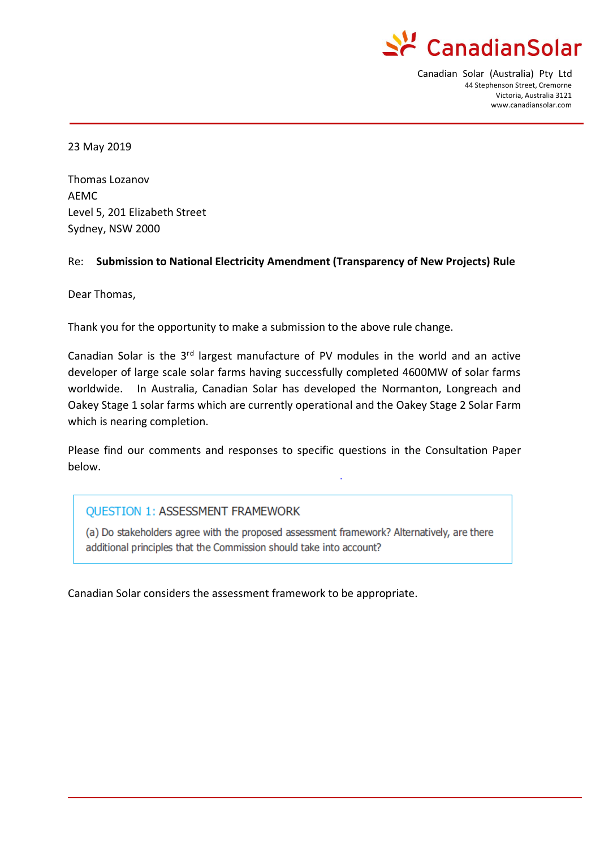

Canadian Solar (Australia) Pty Ltd 44 Stephenson Street, Cremorne Victoria, Australia 3121 www.canadiansolar.com

23 May 2019

Thomas Lozanov AEMC Level 5, 201 Elizabeth Street Sydney, NSW 2000

#### Re: **Submission to National Electricity Amendment (Transparency of New Projects) Rule**

Dear Thomas,

Thank you for the opportunity to make a submission to the above rule change.

Canadian Solar is the  $3<sup>rd</sup>$  largest manufacture of PV modules in the world and an active developer of large scale solar farms having successfully completed 4600MW of solar farms worldwide. In Australia, Canadian Solar has developed the Normanton, Longreach and Oakey Stage 1 solar farms which are currently operational and the Oakey Stage 2 Solar Farm which is nearing completion.

Please find our comments and responses to specific questions in the Consultation Paper below.

#### **QUESTION 1: ASSESSMENT FRAMEWORK**

(a) Do stakeholders agree with the proposed assessment framework? Alternatively, are there additional principles that the Commission should take into account?

Canadian Solar considers the assessment framework to be appropriate.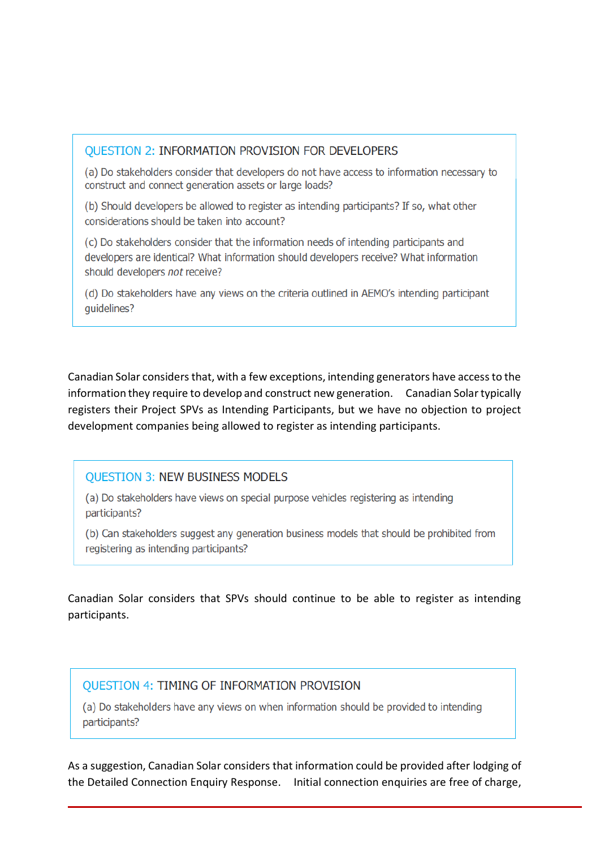#### **OUESTION 2: INFORMATION PROVISION FOR DEVELOPERS**

(a) Do stakeholders consider that developers do not have access to information necessary to construct and connect generation assets or large loads?

(b) Should developers be allowed to register as intending participants? If so, what other considerations should be taken into account?

(c) Do stakeholders consider that the information needs of intending participants and developers are identical? What information should developers receive? What information should developers not receive?

(d) Do stakeholders have any views on the criteria outlined in AEMO's intending participant quidelines?

Canadian Solar considers that, with a few exceptions, intending generators have access to the information they require to develop and construct new generation. Canadian Solar typically registers their Project SPVs as Intending Participants, but we have no objection to project development companies being allowed to register as intending participants.

# **QUESTION 3: NEW BUSINESS MODELS**

(a) Do stakeholders have views on special purpose vehicles registering as intending participants?

(b) Can stakeholders suggest any generation business models that should be prohibited from registering as intending participants?

Canadian Solar considers that SPVs should continue to be able to register as intending participants.

# **OUESTION 4: TIMING OF INFORMATION PROVISION**

(a) Do stakeholders have any views on when information should be provided to intending participants?

As a suggestion, Canadian Solar considers that information could be provided after lodging of the Detailed Connection Enquiry Response. Initial connection enquiries are free of charge,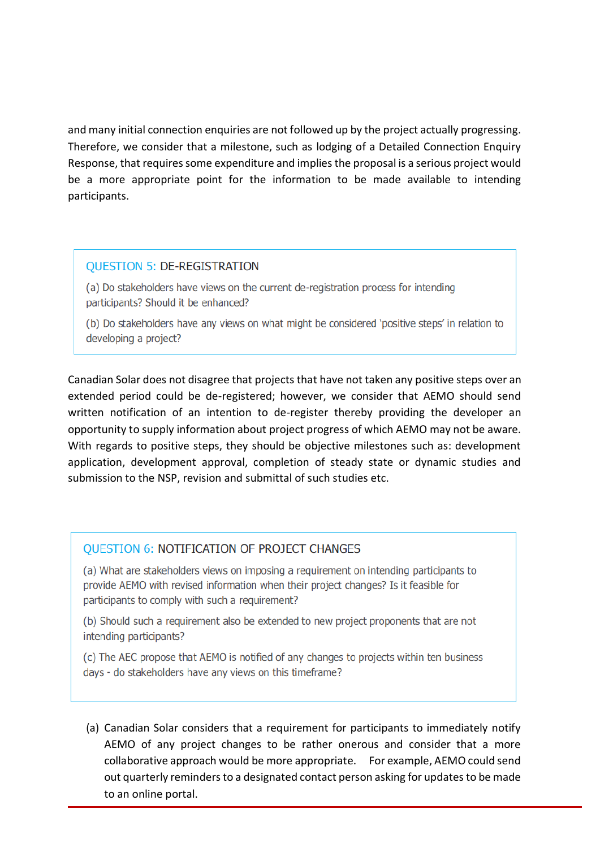and many initial connection enquiries are not followed up by the project actually progressing. Therefore, we consider that a milestone, such as lodging of a Detailed Connection Enquiry Response, that requires some expenditure and implies the proposal is a serious project would be a more appropriate point for the information to be made available to intending participants.

### **OUESTION 5: DE-REGISTRATION**

(a) Do stakeholders have views on the current de-registration process for intending participants? Should it be enhanced?

(b) Do stakeholders have any views on what might be considered 'positive steps' in relation to developing a project?

Canadian Solar does not disagree that projects that have not taken any positive steps over an extended period could be de-registered; however, we consider that AEMO should send written notification of an intention to de-register thereby providing the developer an opportunity to supply information about project progress of which AEMO may not be aware. With regards to positive steps, they should be objective milestones such as: development application, development approval, completion of steady state or dynamic studies and submission to the NSP, revision and submittal of such studies etc.

#### **OUESTION 6: NOTIFICATION OF PROJECT CHANGES**

(a) What are stakeholders views on imposing a requirement on intending participants to provide AEMO with revised information when their project changes? Is it feasible for participants to comply with such a requirement?

(b) Should such a requirement also be extended to new project proponents that are not intending participants?

(c) The AEC propose that AEMO is notified of any changes to projects within ten business days - do stakeholders have any views on this timeframe?

(a) Canadian Solar considers that a requirement for participants to immediately notify AEMO of any project changes to be rather onerous and consider that a more collaborative approach would be more appropriate. For example, AEMO could send out quarterly reminders to a designated contact person asking for updates to be made to an online portal.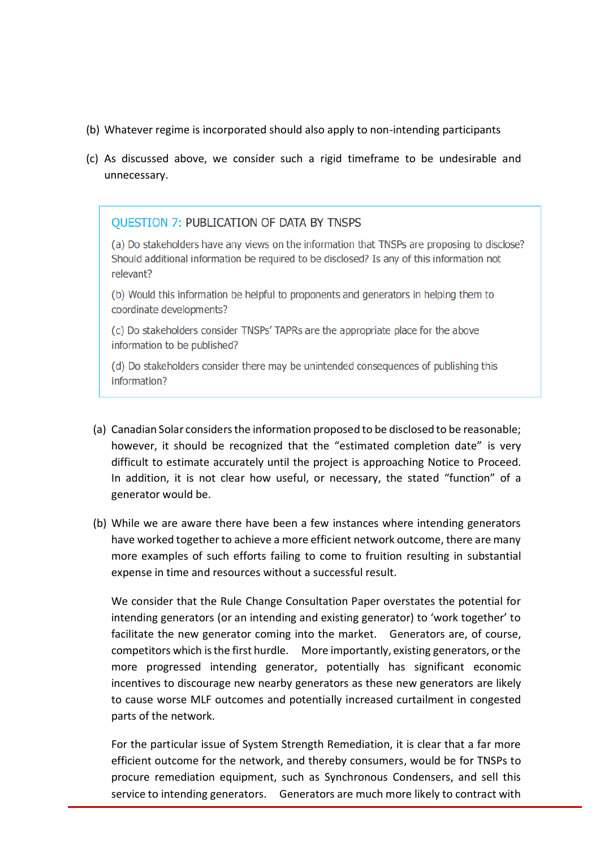- (b) Whatever regime is incorporated should also apply to non-intending participants
- (c) As discussed above, we consider such a rigid timeframe to be undesirable and unnecessary.

# **OUESTION 7: PUBLICATION OF DATA BY TNSPS**

(a) Do stakeholders have any views on the information that TNSPs are proposing to disclose? Should additional information be required to be disclosed? Is any of this information not relevant?

(b) Would this information be helpful to proponents and generators in helping them to coordinate developments?

(c) Do stakeholders consider TNSPs' TAPRs are the appropriate place for the above information to be published?

(d) Do stakeholders consider there may be unintended consequences of publishing this information?

- (a) Canadian Solar considers the information proposed to be disclosed to be reasonable; however, it should be recognized that the "estimated completion date" is very difficult to estimate accurately until the project is approaching Notice to Proceed. In addition, it is not clear how useful, or necessary, the stated "function" of a generator would be.
- (b) While we are aware there have been a few instances where intending generators have worked together to achieve a more efficient network outcome, there are many more examples of such efforts failing to come to fruition resulting in substantial expense in time and resources without a successful result.

We consider that the Rule Change Consultation Paper overstates the potential for intending generators (or an intending and existing generator) to 'work together' to facilitate the new generator coming into the market. Generators are, of course, competitors which is the first hurdle. More importantly, existing generators, or the more progressed intending generator, potentially has significant economic incentives to discourage new nearby generators as these new generators are likely to cause worse MLF outcomes and potentially increased curtailment in congested parts of the network.

For the particular issue of System Strength Remediation, it is clear that a far more efficient outcome for the network, and thereby consumers, would be for TNSPs to procure remediation equipment, such as Synchronous Condensers, and sell this service to intending generators. Generators are much more likely to contract with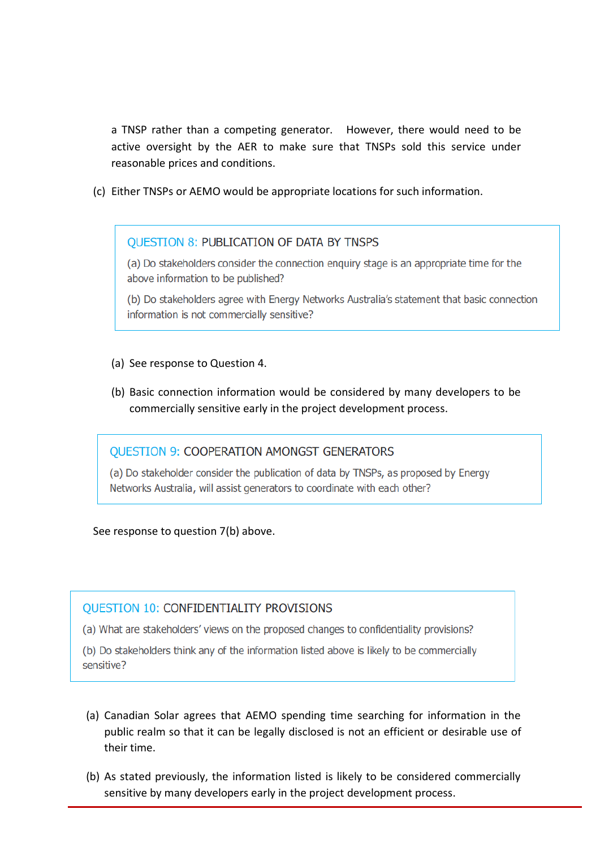a TNSP rather than a competing generator. However, there would need to be active oversight by the AER to make sure that TNSPs sold this service under reasonable prices and conditions.

(c) Either TNSPs or AEMO would be appropriate locations for such information.

### **OUESTION 8: PUBLICATION OF DATA BY TNSPS**

(a) Do stakeholders consider the connection enquiry stage is an appropriate time for the above information to be published?

(b) Do stakeholders agree with Energy Networks Australia's statement that basic connection information is not commercially sensitive?

- (a) See response to Question 4.
- (b) Basic connection information would be considered by many developers to be commercially sensitive early in the project development process.

#### **QUESTION 9: COOPERATION AMONGST GENERATORS**

(a) Do stakeholder consider the publication of data by TNSPs, as proposed by Energy Networks Australia, will assist generators to coordinate with each other?

See response to question 7(b) above.

# **OUESTION 10: CONFIDENTIALITY PROVISIONS**

(a) What are stakeholders' views on the proposed changes to confidentiality provisions?

(b) Do stakeholders think any of the information listed above is likely to be commercially sensitive?

- (a) Canadian Solar agrees that AEMO spending time searching for information in the public realm so that it can be legally disclosed is not an efficient or desirable use of their time.
- (b) As stated previously, the information listed is likely to be considered commercially sensitive by many developers early in the project development process.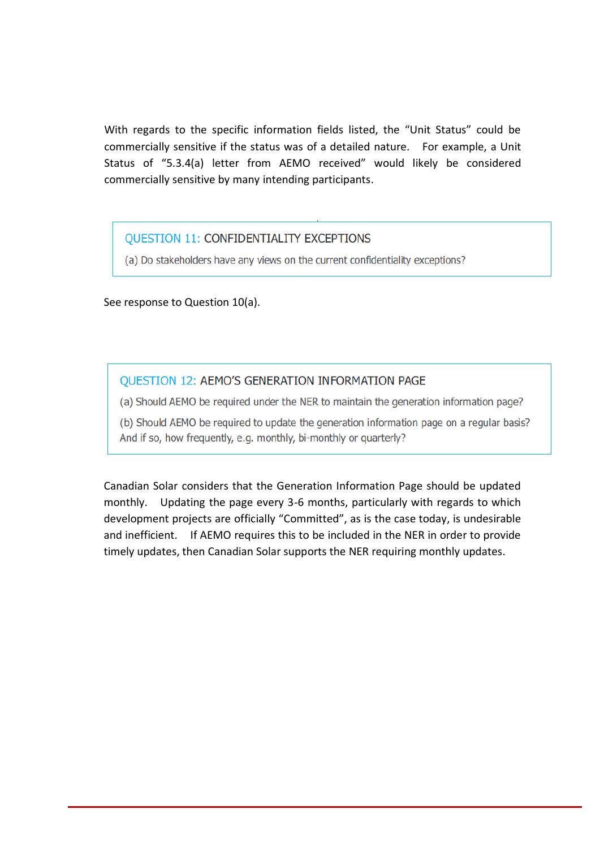With regards to the specific information fields listed, the "Unit Status" could be commercially sensitive if the status was of a detailed nature. For example, a Unit Status of "5.3.4(a) letter from AEMO received" would likely be considered commercially sensitive by many intending participants.

# **QUESTION 11: CONFIDENTIALITY EXCEPTIONS**

(a) Do stakeholders have any views on the current confidentiality exceptions?

See response to Question 10(a).

### **QUESTION 12: AEMO'S GENERATION INFORMATION PAGE**

(a) Should AEMO be required under the NER to maintain the generation information page?

(b) Should AEMO be required to update the generation information page on a regular basis? And if so, how frequently, e.g. monthly, bi-monthly or quarterly?

Canadian Solar considers that the Generation Information Page should be updated monthly. Updating the page every 3-6 months, particularly with regards to which development projects are officially "Committed", as is the case today, is undesirable and inefficient. If AEMO requires this to be included in the NER in order to provide timely updates, then Canadian Solar supports the NER requiring monthly updates.